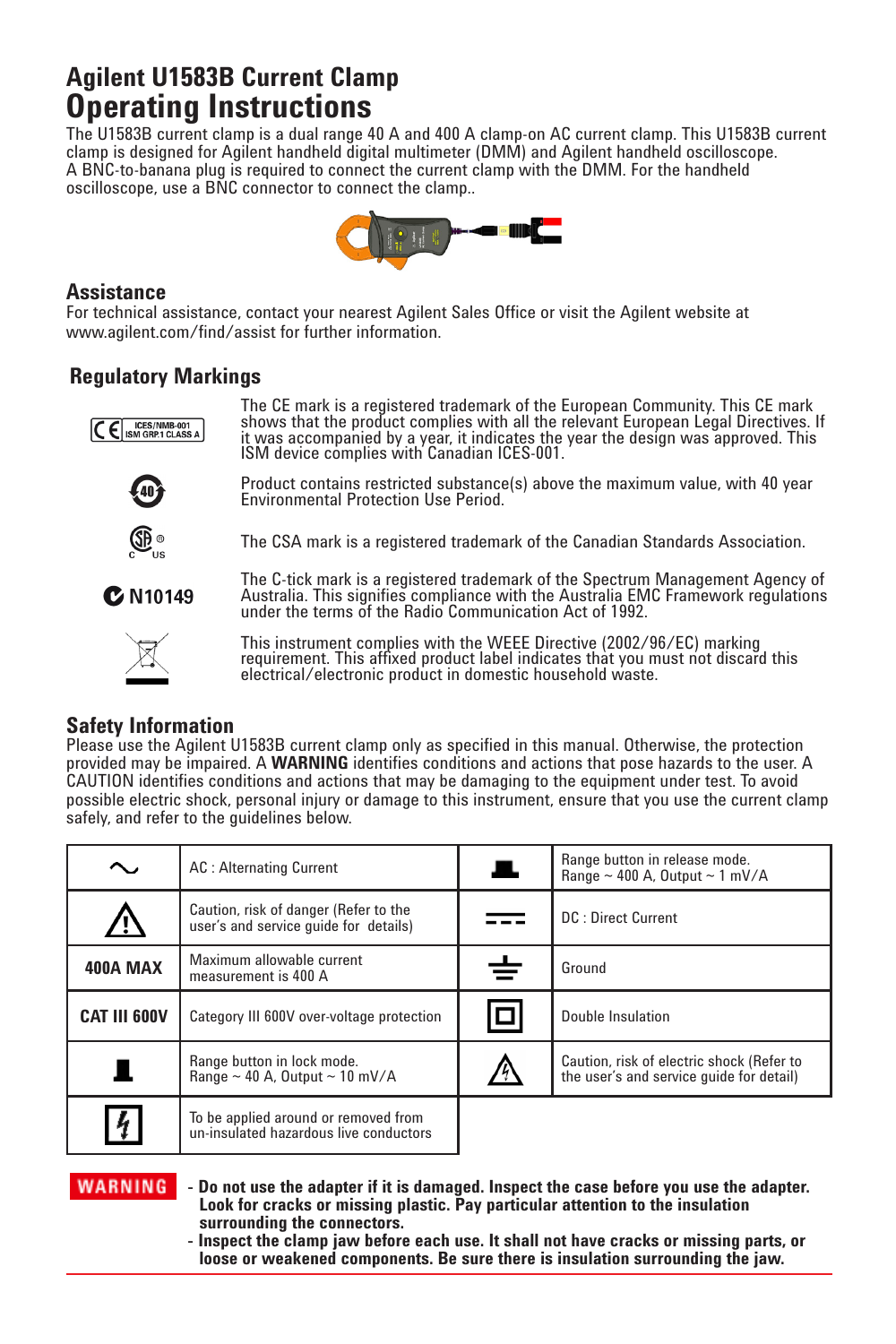# **Agilent U1583B Current Clamp Operating Instructions**

The U1583B current clamp is a dual range 40 A and 400 A clamp-on AC current clamp. This U1583B current clamp is designed for Agilent handheld digital multimeter (DMM) and Agilent handheld oscilloscope. A BNC-to-banana plug is required to connect the current clamp with the DMM. For the handheld oscilloscope, use a BNC connector to connect the clamp..



#### **Assistance**

For technical assistance, contact your nearest Agilent Sales Office or visit the Agilent website at www.agilent.com/find/assist for further information.

## **Regulatory Markings**

The CE mark is a registered trademark of the European Community. This CE mark shows that the product complies with all the relevant European Legal Directives. If E ISM GRP.1 CLASS A it was accompanied by a year, it indicates the year the design was approved. This ISM device complies with Canadian ICES-001. Product contains restricted substance(s) above the maximum value, with 40 year



Environmental Protection Use Period.



The CSA mark is a registered trademark of the Canadian Standards Association.

**C** N10149



under the terms of the Radio Communication Act of 1992. This instrument complies with the WEEE Directive (2002/96/EC) marking requirement. This affixed product label indicates that you must not discard this

The C-tick mark is a registered trademark of the Spectrum Management Agency of Australia. This signifies compliance with the Australia EMC Framework regulations

### **Safety Information**

Please use the Agilent U1583B current clamp only as specified in this manual. Otherwise, the protection provided may be impaired. A **WARNING** identifies conditions and actions that pose hazards to the user. A CAUTION identifies conditions and actions that may be damaging to the equipment under test. To avoid possible electric shock, personal injury or damage to this instrument, ensure that you use the current clamp safely, and refer to the guidelines below.

electrical/electronic product in domestic household waste.

|                     | <b>AC: Alternating Current</b>                                                 | al i     | Range button in release mode.<br>Range $\sim$ 400 A, Output $\sim$ 1 mV/A             |
|---------------------|--------------------------------------------------------------------------------|----------|---------------------------------------------------------------------------------------|
|                     | Caution, risk of danger (Refer to the<br>user's and service quide for details) |          | <b>DC: Direct Current</b>                                                             |
| 400A MAX            | Maximum allowable current<br>measurement is 400 A                              | $\, \pm$ | Ground                                                                                |
| <b>CAT III 600V</b> | Category III 600V over-voltage protection                                      | O        | Double Insulation                                                                     |
|                     | Range button in lock mode.<br>Range $\sim$ 40 A. Output $\sim$ 10 mV/A         |          | Caution, risk of electric shock (Refer to<br>the user's and service quide for detail) |
| $\frac{1}{4}$       | To be applied around or removed from<br>un-insulated hazardous live conductors |          |                                                                                       |

#### **WARNING**

**- Do not use the adapter if it is damaged. Inspect the case before you use the adapter. Look for cracks or missing plastic. Pay particular attention to the insulation surrounding the connectors.**

**- Inspect the clamp jaw before each use. It shall not have cracks or missing parts, or loose or weakened components. Be sure there is insulation surrounding the jaw.**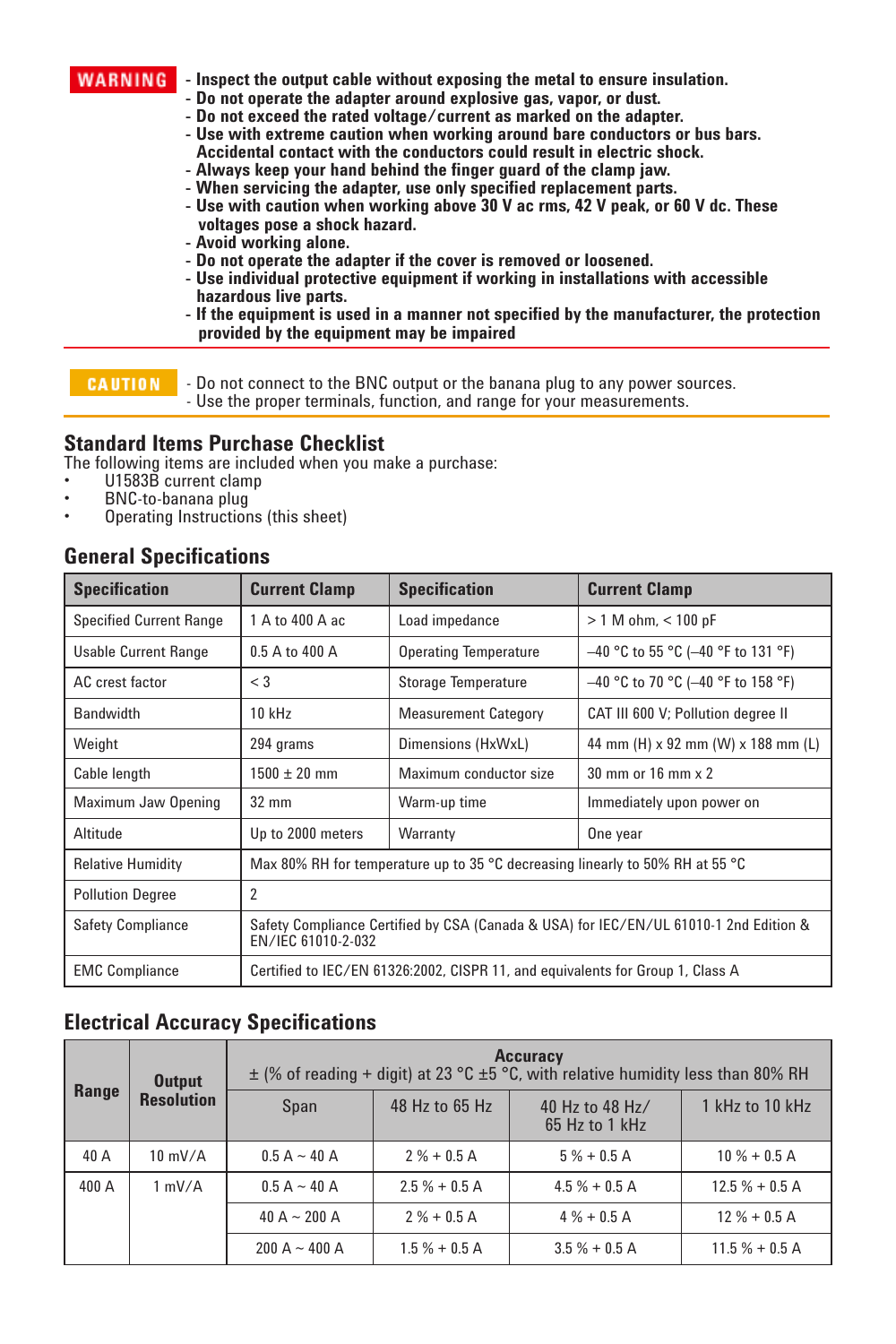**WARNING** - Inspect the output cable without exposing the metal to ensure insulation.

- **Do not operate the adapter around explosive gas, vapor, or dust.**
- **Do not exceed the rated voltage/current as marked on the adapter.**
- **Use with extreme caution when working around bare conductors or bus bars. Accidental contact with the conductors could result in electric shock.**
- **Always keep your hand behind the finger guard of the clamp jaw.**
- 
- **When servicing the adapter, use only specified replacement parts. Use with caution when working above 30 V ac rms, 42 V peak, or 60 V dc. These voltages pose a shock hazard.**
- **Avoid working alone.**
- **Do not operate the adapter if the cover is removed or loosened.**
- **Use individual protective equipment if working in installations with accessible hazardous live parts.**
- **If the equipment is used in a manner not specified by the manufacturer, the protection provided by the equipment may be impaired**

**CAUTION** 

- Do not connect to the BNC output or the banana plug to any power sources. - Use the proper terminals, function, and range for your measurements.

#### **Standard Items Purchase Checklist**

The following items are included when you make a purchase:

- U1583B current clamp
- BNC-to-banana plug
- Operating Instructions (this sheet)

#### **General Specifications**

| <b>Specification</b>           | <b>Current Clamp</b>                                                                                        | <b>Specification</b>         | <b>Current Clamp</b>                        |
|--------------------------------|-------------------------------------------------------------------------------------------------------------|------------------------------|---------------------------------------------|
| <b>Specified Current Range</b> | 1 A to 400 A ac                                                                                             | Load impedance               | $> 1$ M ohm, $< 100$ pF                     |
| Usable Current Range           | 0.5 A to 400 A                                                                                              | <b>Operating Temperature</b> | $-40$ °C to 55 °C (-40 °F to 131 °F)        |
| AC crest factor                | $<$ 3                                                                                                       | <b>Storage Temperature</b>   | $-40$ °C to 70 °C (-40 °F to 158 °F)        |
| <b>Bandwidth</b>               | $10$ kHz                                                                                                    | <b>Measurement Category</b>  | CAT III 600 V; Pollution degree II          |
| Weight                         | 294 grams                                                                                                   | Dimensions (HxWxL)           | 44 mm (H) x 92 mm (W) x 188 mm (L)          |
| Cable length                   | $1500 \pm 20$ mm                                                                                            | Maximum conductor size       | $30 \text{ mm}$ or $16 \text{ mm} \times 2$ |
| Maximum Jaw Opening            | $32 \text{ mm}$                                                                                             | Warm-up time                 | Immediately upon power on                   |
| Altitude                       | Up to 2000 meters                                                                                           | Warranty                     | One year                                    |
| <b>Relative Humidity</b>       | Max 80% RH for temperature up to 35 °C decreasing linearly to 50% RH at 55 °C                               |                              |                                             |
| <b>Pollution Degree</b>        | $\overline{2}$                                                                                              |                              |                                             |
| <b>Safety Compliance</b>       | Safety Compliance Certified by CSA (Canada & USA) for IEC/EN/UL 61010-1 2nd Edition &<br>EN/IEC 61010-2-032 |                              |                                             |
| <b>EMC Compliance</b>          | Certified to IEC/EN 61326:2002, CISPR 11, and equivalents for Group 1, Class A                              |                              |                                             |

# **Electrical Accuracy Specifications**

|       | <b>Output</b><br><b>Resolution</b> | <b>Accuracy</b><br>$\pm$ (% of reading + digit) at 23 °C $\pm$ 5 °C, with relative humidity less than 80% RH |                |                                     |                 |
|-------|------------------------------------|--------------------------------------------------------------------------------------------------------------|----------------|-------------------------------------|-----------------|
| Range |                                    | Span                                                                                                         | 48 Hz to 65 Hz | 40 Hz to 48 Hz/<br>$65$ Hz to 1 kHz | 1 kHz to 10 kHz |
| 40 A  | $10 \text{ mV/A}$                  | $0.5 A - 40 A$                                                                                               | $2\% + 0.5$ A  | $5% + 0.5A$                         | $10% + 0.5A$    |
| 400 A | 1 mV/A                             | $0.5 A - 40 A$                                                                                               | $2.5% + 0.5A$  | $4.5% + 0.5A$                       | $12.5% + 0.5A$  |
|       |                                    | 40 A $\sim$ 200 A                                                                                            | $2\% + 0.5$ A  | $4\% + 0.5$ A                       | $12\% + 0.5$ A  |
|       |                                    | $200 A - 400 A$                                                                                              | $1.5% + 0.5A$  | $3.5% + 0.5A$                       | $11.5% + 0.5A$  |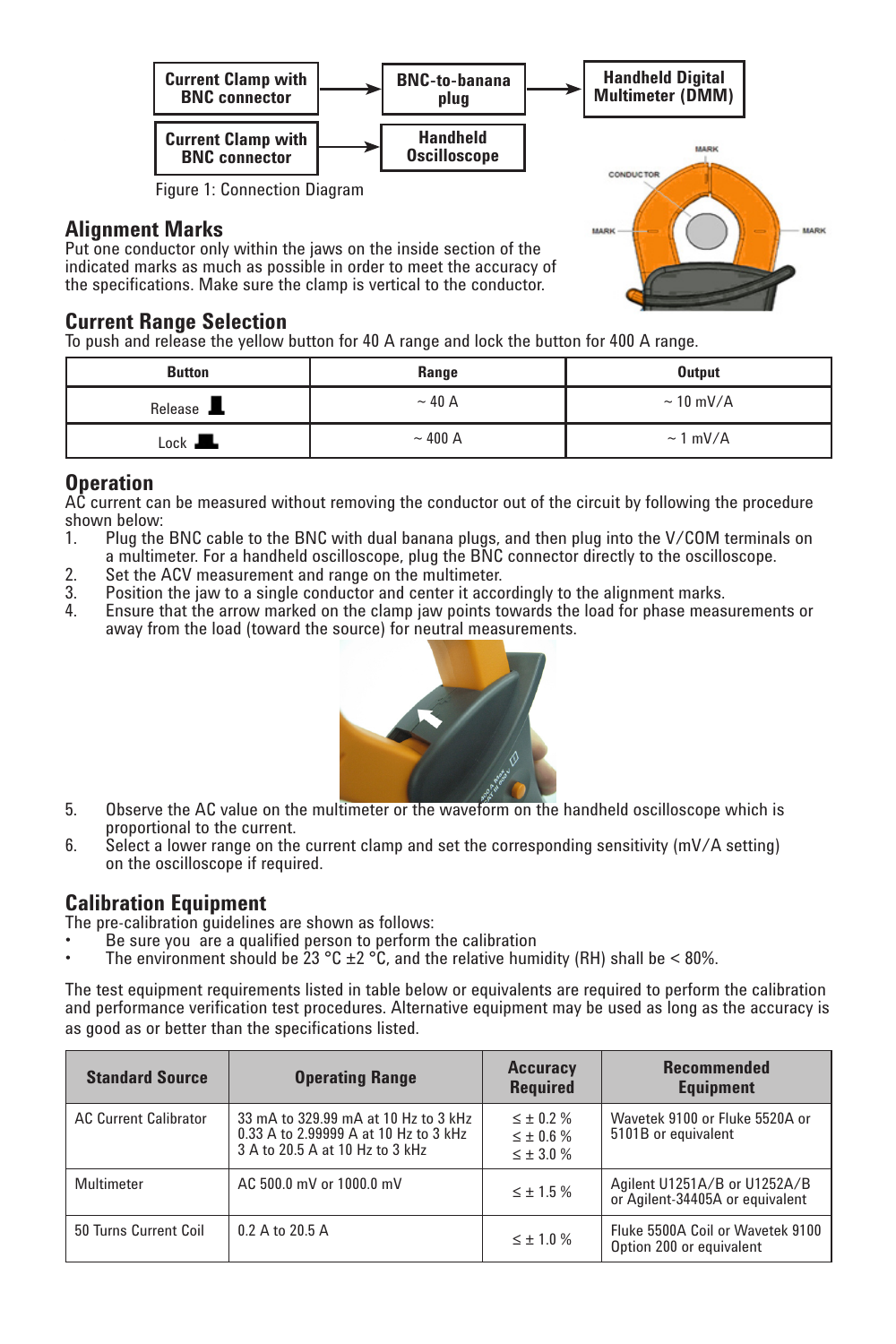

#### **Alignment Marks**

Put one conductor only within the jaws on the inside section of the indicated marks as much as possible in order to meet the accuracy of the specifications. Make sure the clamp is vertical to the conductor.

#### **Current Range Selection**

To push and release the yellow button for 40 A range and lock the button for 400 A range.

| <b>Button</b>    | Range        | Output         |
|------------------|--------------|----------------|
| Release <b>L</b> | $\sim$ 40 A  | $\sim$ 10 mV/A |
| Lock <b>In A</b> | $\sim$ 400 A | $\sim 1$ mV/A  |

### **Operation**

AC current can be measured without removing the conductor out of the circuit by following the procedure shown below:<br>1. Plug the

- Plug the BNC cable to the BNC with dual banana plugs, and then plug into the V/COM terminals on a multimeter. For a handheld oscilloscope, plug the BNC connector directly to the oscilloscope.
- 
- 2. Set the ACV measurement and range on the multimeter.<br>3. Position the jaw to a single conductor and center it acco 3. Position the jaw to a single conductor and center it accordingly to the alignment marks.<br>4. Ensure that the arrow marked on the clamp jaw points towards the load for phase meas
- 4. Ensure that the arrow marked on the clamp jaw points towards the load for phase measurements or away from the load (toward the source) for neutral measurements.



- 5. Observe the AC value on the multimeter or the waveform on the handheld oscilloscope which is proportional to the current.
- 6. Select a lower range on the current clamp and set the corresponding sensitivity (mV/A setting) on the oscilloscope if required.

**Calibration Equipment**<br>The pre-calibration guidelines are shown as follows:

- Be sure you are a qualified person to perform the calibration
- The environment should be 23 °C  $\pm$ 2 °C, and the relative humidity (RH) shall be < 80%.

The test equipment requirements listed in table below or equivalents are required to perform the calibration and performance verification test procedures. Alternative equipment may be used as long as the accuracy is as good as or better than the specifications listed.

| <b>Standard Source</b>       | <b>Operating Range</b>                                                                                           | <b>Accuracy</b><br><b>Required</b>                         | <b>Recommended</b><br><b>Equipment</b>                          |
|------------------------------|------------------------------------------------------------------------------------------------------------------|------------------------------------------------------------|-----------------------------------------------------------------|
| <b>AC Current Calibrator</b> | 33 mA to 329.99 mA at 10 Hz to 3 kHz<br>0.33 A to 2.99999 A at 10 Hz to 3 kHz<br>3 A to 20.5 A at 10 Hz to 3 kHz | $\leq \pm 0.2 \%$<br>$\leq \pm 0.6$ %<br>$\leq \pm 3.0 \%$ | Wavetek 9100 or Fluke 5520A or<br>5101B or equivalent           |
| Multimeter                   | AC 500.0 mV or 1000.0 mV                                                                                         | $\leq \pm 1.5$ %                                           | Agilent U1251A/B or U1252A/B<br>or Agilent-34405A or equivalent |
| 50 Turns Current Coil        | 0.2 A to 20.5 A                                                                                                  | $\leq \pm 1.0$ %                                           | Fluke 5500A Coil or Wavetek 9100<br>Option 200 or equivalent    |